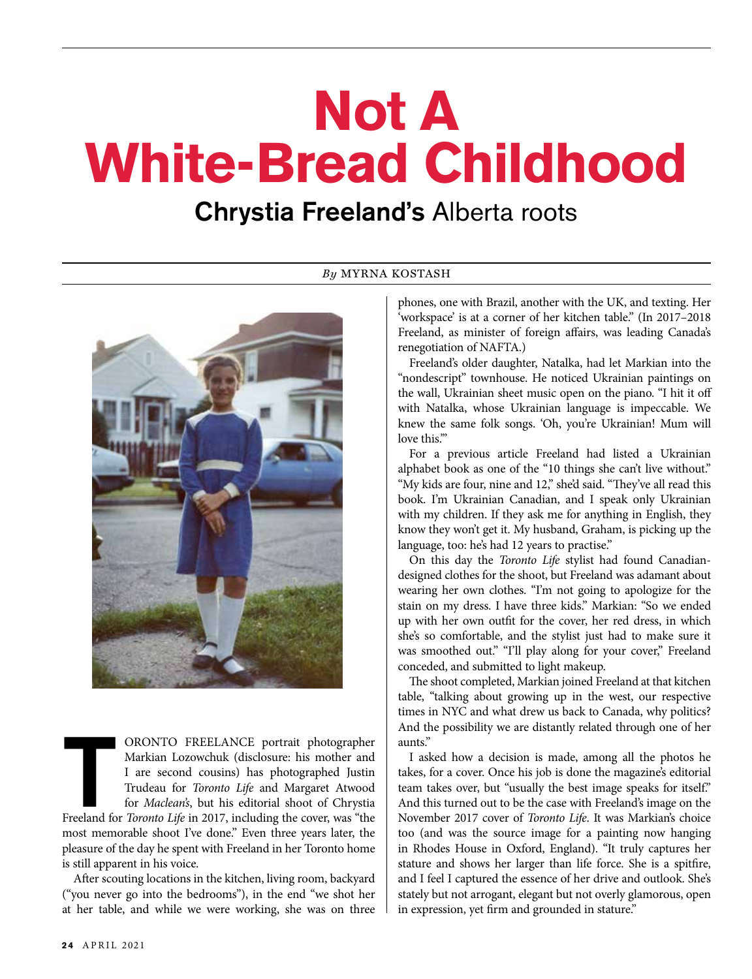# **Not A White-Bread Childhood**

## Chrystia Freeland's Alberta roots



ORONTO FREELANCE portrait photographer Markian Lozowchuk (disclosure: his mother and I are second cousins) has photographed Justin Trudeau for *Toronto Life* and Margaret Atwood for *Maclean's*, but his editorial shoot of Markian Lozowchuk (disclosure: his mother and I are second cousins) has photographed Justin Trudeau for *Toronto Life* and Margaret Atwood for *Maclean's*, but his editorial shoot of Chrystia most memorable shoot I've done." Even three years later, the pleasure of the day he spent with Freeland in her Toronto home is still apparent in his voice.

After scouting locations in the kitchen, living room, backyard ("you never go into the bedrooms"), in the end "we shot her at her table, and while we were working, she was on three

#### *By* MYRNA KOSTASH

phones, one with Brazil, another with the UK, and texting. Her 'workspace' is at a corner of her kitchen table." (In 2017–2018 Freeland, as minister of foreign affairs, was leading Canada's renegotiation of NAFTA.)

Freeland's older daughter, Natalka, had let Markian into the "nondescript" townhouse. He noticed Ukrainian paintings on the wall, Ukrainian sheet music open on the piano. "I hit it off with Natalka, whose Ukrainian language is impeccable. We knew the same folk songs. 'Oh, you're Ukrainian! Mum will love this."

For a previous article Freeland had listed a Ukrainian alphabet book as one of the "10 things she can't live without." "My kids are four, nine and 12," she'd said. "They've all read this book. I'm Ukrainian Canadian, and I speak only Ukrainian with my children. If they ask me for anything in English, they know they won't get it. My husband, Graham, is picking up the language, too: he's had 12 years to practise."

On this day the *Toronto Life* stylist had found Canadiandesigned clothes for the shoot, but Freeland was adamant about wearing her own clothes. "I'm not going to apologize for the stain on my dress. I have three kids." Markian: "So we ended up with her own outfit for the cover, her red dress, in which she's so comfortable, and the stylist just had to make sure it was smoothed out." "I'll play along for your cover," Freeland conceded, and submitted to light makeup.

The shoot completed, Markian joined Freeland at that kitchen table, "talking about growing up in the west, our respective times in NYC and what drew us back to Canada, why politics? And the possibility we are distantly related through one of her aunts."

I asked how a decision is made, among all the photos he takes, for a cover. Once his job is done the magazine's editorial team takes over, but "usually the best image speaks for itself." And this turned out to be the case with Freeland's image on the November 2017 cover of *Toronto Life*. It was Markian's choice too (and was the source image for a painting now hanging in Rhodes House in Oxford, England). "It truly captures her stature and shows her larger than life force. She is a spitfire, and I feel I captured the essence of her drive and outlook. She's stately but not arrogant, elegant but not overly glamorous, open in expression, yet firm and grounded in stature."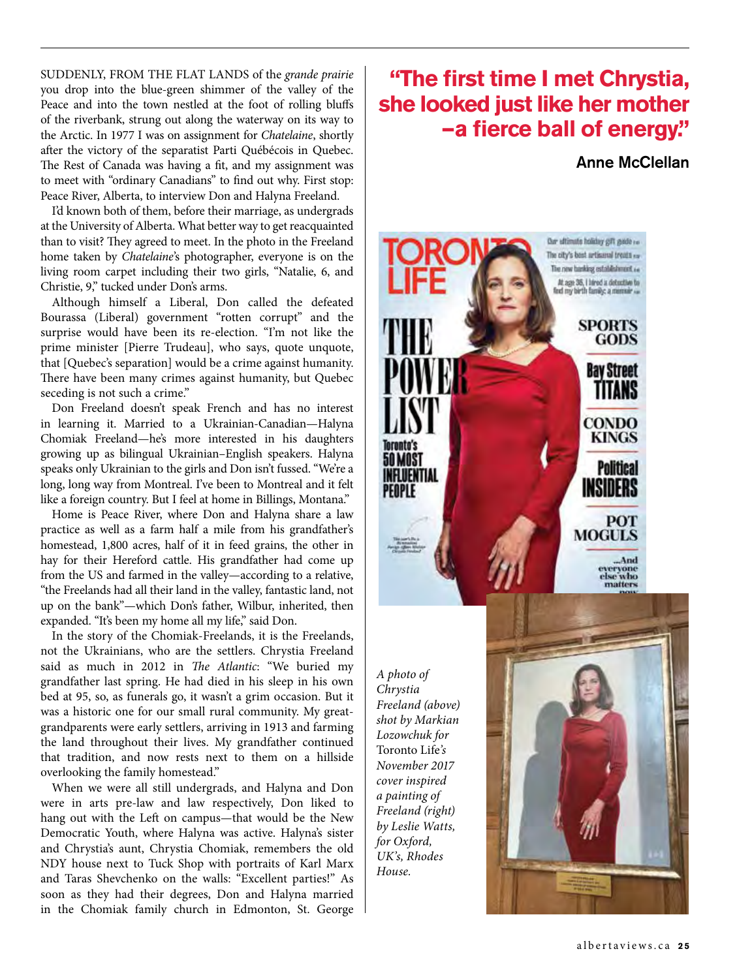SUDDENLY, FROM THE FLAT LANDS of the *grande prairie* you drop into the blue-green shimmer of the valley of the Peace and into the town nestled at the foot of rolling bluffs of the riverbank, strung out along the waterway on its way to the Arctic. In 1977 I was on assignment for *Chatelaine*, shortly after the victory of the separatist Parti Québécois in Quebec. The Rest of Canada was having a fit, and my assignment was to meet with "ordinary Canadians" to find out why. First stop: Peace River, Alberta, to interview Don and Halyna Freeland.

I'd known both of them, before their marriage, as undergrads at the University of Alberta. What better way to get reacquainted than to visit? They agreed to meet. In the photo in the Freeland home taken by *Chatelaine*'s photographer, everyone is on the living room carpet including their two girls, "Natalie, 6, and Christie, 9," tucked under Don's arms.

Although himself a Liberal, Don called the defeated Bourassa (Liberal) government "rotten corrupt" and the surprise would have been its re-election. "I'm not like the prime minister [Pierre Trudeau], who says, quote unquote, that [Quebec's separation] would be a crime against humanity. There have been many crimes against humanity, but Quebec seceding is not such a crime."

Don Freeland doesn't speak French and has no interest in learning it. Married to a Ukrainian-Canadian—Halyna Chomiak Freeland—he's more interested in his daughters growing up as bilingual Ukrainian–English speakers. Halyna speaks only Ukrainian to the girls and Don isn't fussed. "We're a long, long way from Montreal. I've been to Montreal and it felt like a foreign country. But I feel at home in Billings, Montana."

Home is Peace River, where Don and Halyna share a law practice as well as a farm half a mile from his grandfather's homestead, 1,800 acres, half of it in feed grains, the other in hay for their Hereford cattle. His grandfather had come up from the US and farmed in the valley—according to a relative, "the Freelands had all their land in the valley, fantastic land, not up on the bank"—which Don's father, Wilbur, inherited, then expanded. "It's been my home all my life," said Don.

In the story of the Chomiak-Freelands, it is the Freelands, not the Ukrainians, who are the settlers. Chrystia Freeland said as much in 2012 in *The Atlantic*: "We buried my grandfather last spring. He had died in his sleep in his own bed at 95, so, as funerals go, it wasn't a grim occasion. But it was a historic one for our small rural community. My greatgrandparents were early settlers, arriving in 1913 and farming the land throughout their lives. My grandfather continued that tradition, and now rests next to them on a hillside overlooking the family homestead."

When we were all still undergrads, and Halyna and Don were in arts pre-law and law respectively, Don liked to hang out with the Left on campus—that would be the New Democratic Youth, where Halyna was active. Halyna's sister and Chrystia's aunt, Chrystia Chomiak, remembers the old NDY house next to Tuck Shop with portraits of Karl Marx and Taras Shevchenko on the walls: "Excellent parties!" As soon as they had their degrees, Don and Halyna married in the Chomiak family church in Edmonton, St. George

## **"The first time I met Chrystia, she looked just like her mother —a fierce ball of energy."**

#### Anne McClellan



*A photo of Chrystia Freeland (above) shot by Markian Lozowchuk for*  Toronto Life*'s November 2017 cover inspired a painting of Freeland (right) by Leslie Watts, for Oxford, UK's, Rhodes House.*

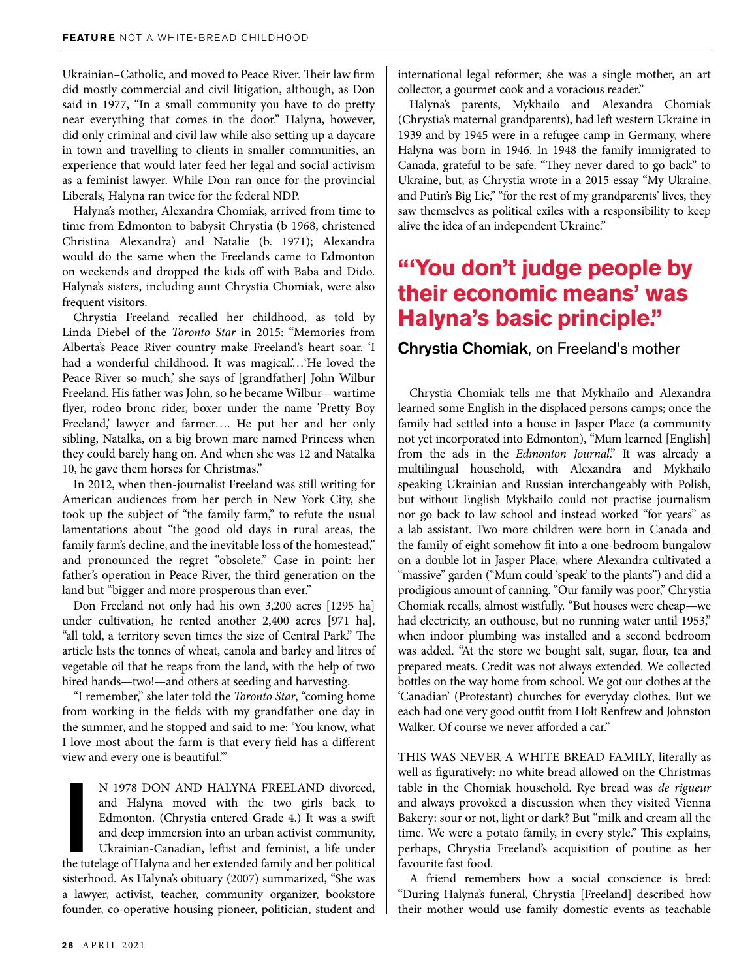Ukrainian–Catholic, and moved to Peace River. Their law firm did mostly commercial and civil litigation, although, as Don said in 1977, "In a small community you have to do pretty near everything that comes in the door." Halyna, however, did only criminal and civil law while also setting up a daycare in town and travelling to clients in smaller communities, an experience that would later feed her legal and social activism as a feminist lawyer. While Don ran once for the provincial Liberals, Halyna ran twice for the federal NDP.

Halyna's mother, Alexandra Chomiak, arrived from time to time from Edmonton to babysit Chrystia (b 1968, christened Christina Alexandra) and Natalie (b. 1971); Alexandra would do the same when the Freelands came to Edmonton on weekends and dropped the kids off with Baba and Dido. Halyna's sisters, including aunt Chrystia Chomiak, were also frequent visitors.

Chrystia Freeland recalled her childhood, as told by Linda Diebel of the *Toronto Star* in 2015: "Memories from Alberta's Peace River country make Freeland's heart soar. 'I had a wonderful childhood. It was magical....'He loved the Peace River so much,' she says of [grandfather] John Wilbur Freeland. His father was John, so he became Wilbur—wartime flyer, rodeo bronc rider, boxer under the name 'Pretty Boy Freeland,' lawyer and farmer…. He put her and her only sibling, Natalka, on a big brown mare named Princess when they could barely hang on. And when she was 12 and Natalka 10, he gave them horses for Christmas."

In 2012, when then-journalist Freeland was still writing for American audiences from her perch in New York City, she took up the subject of "the family farm," to refute the usual lamentations about "the good old days in rural areas, the family farm's decline, and the inevitable loss of the homestead," and pronounced the regret "obsolete." Case in point: her father's operation in Peace River, the third generation on the land but "bigger and more prosperous than ever."

Don Freeland not only had his own 3,200 acres [1295 ha] under cultivation, he rented another 2,400 acres [971 ha], "all told, a territory seven times the size of Central Park." The article lists the tonnes of wheat, canola and barley and litres of vegetable oil that he reaps from the land, with the help of two hired hands—two!—and others at seeding and harvesting.

"I remember," she later told the *Toronto Star*, "coming home from working in the fields with my grandfather one day in the summer, and he stopped and said to me: 'You know, what I love most about the farm is that every field has a different view and every one is beautiful.'"

N 1978 DON AND HALYNA FREELAND divorced, and Halyna moved with the two girls back to Edmonton. (Chrystia entered Grade 4.) It was a swift and deep immersion into an urban activist community, Ukrainian-Canadian, leftist and N 1978 DON AND HALYNA FREELAND divorced, and Halyna moved with the two girls back to Edmonton. (Chrystia entered Grade 4.) It was a swift and deep immersion into an urban activist community, Ukrainian-Canadian, leftist and feminist, a life under sisterhood. As Halyna's obituary (2007) summarized, "She was a lawyer, activist, teacher, community organizer, bookstore founder, co-operative housing pioneer, politician, student and

international legal reformer; she was a single mother, an art collector, a gourmet cook and a voracious reader."

Halyna's parents, Mykhailo and Alexandra Chomiak (Chrystia's maternal grandparents), had left western Ukraine in 1939 and by 1945 were in a refugee camp in Germany, where Halyna was born in 1946. In 1948 the family immigrated to Canada, grateful to be safe. "They never dared to go back" to Ukraine, but, as Chrystia wrote in a 2015 essay "My Ukraine, and Putin's Big Lie," "for the rest of my grandparents' lives, they saw themselves as political exiles with a responsibility to keep alive the idea of an independent Ukraine."

## **"'You don't judge people by their economic means' was Halyna's basic principle."**

#### Chrystia Chomiak, on Freeland's mother

Chrystia Chomiak tells me that Mykhailo and Alexandra learned some English in the displaced persons camps; once the family had settled into a house in Jasper Place (a community not yet incorporated into Edmonton), "Mum learned [English] from the ads in the *Edmonton Journal*." It was already a multilingual household, with Alexandra and Mykhailo speaking Ukrainian and Russian interchangeably with Polish, but without English Mykhailo could not practise journalism nor go back to law school and instead worked "for years" as a lab assistant. Two more children were born in Canada and the family of eight somehow fit into a one-bedroom bungalow on a double lot in Jasper Place, where Alexandra cultivated a "massive" garden ("Mum could 'speak' to the plants") and did a prodigious amount of canning. "Our family was poor," Chrystia Chomiak recalls, almost wistfully. "But houses were cheap—we had electricity, an outhouse, but no running water until 1953," when indoor plumbing was installed and a second bedroom was added. "At the store we bought salt, sugar, flour, tea and prepared meats. Credit was not always extended. We collected bottles on the way home from school. We got our clothes at the 'Canadian' (Protestant) churches for everyday clothes. But we each had one very good outfit from Holt Renfrew and Johnston Walker. Of course we never afforded a car."

THIS WAS NEVER A WHITE BREAD FAMILY, literally as well as figuratively: no white bread allowed on the Christmas table in the Chomiak household. Rye bread was *de rigueur*  and always provoked a discussion when they visited Vienna Bakery: sour or not, light or dark? But "milk and cream all the time. We were a potato family, in every style." This explains, perhaps, Chrystia Freeland's acquisition of poutine as her favourite fast food.

A friend remembers how a social conscience is bred: "During Halyna's funeral, Chrystia [Freeland] described how their mother would use family domestic events as teachable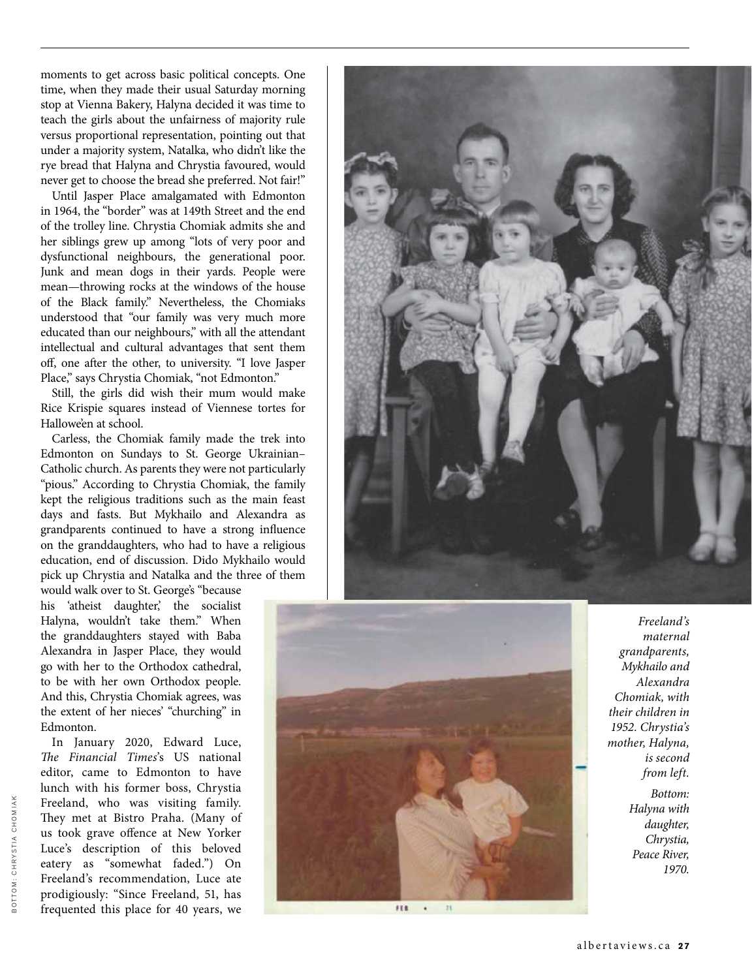moments to get across basic political concepts. One time, when they made their usual Saturday morning stop at Vienna Bakery, Halyna decided it was time to teach the girls about the unfairness of majority rule versus proportional representation, pointing out that under a majority system, Natalka, who didn't like the rye bread that Halyna and Chrystia favoured, would never get to choose the bread she preferred. Not fair!"

Until Jasper Place amalgamated with Edmonton in 1964, the "border" was at 149th Street and the end of the trolley line. Chrystia Chomiak admits she and her siblings grew up among "lots of very poor and dysfunctional neighbours, the generational poor. Junk and mean dogs in their yards. People were mean—throwing rocks at the windows of the house of the Black family." Nevertheless, the Chomiaks understood that "our family was very much more educated than our neighbours," with all the attendant intellectual and cultural advantages that sent them off, one after the other, to university. "I love Jasper Place," says Chrystia Chomiak, "not Edmonton."

Still, the girls did wish their mum would make Rice Krispie squares instead of Viennese tortes for Hallowe'en at school.

Carless, the Chomiak family made the trek into Edmonton on Sundays to St. George Ukrainian– Catholic church. As parents they were not particularly "pious." According to Chrystia Chomiak, the family kept the religious traditions such as the main feast days and fasts. But Mykhailo and Alexandra as grandparents continued to have a strong influence on the granddaughters, who had to have a religious education, end of discussion. Dido Mykhailo would pick up Chrystia and Natalka and the three of them would walk over to St. George's "because

his 'atheist daughter,' the socialist Halyna, wouldn't take them." When the granddaughters stayed with Baba Alexandra in Jasper Place, they would go with her to the Orthodox cathedral, to be with her own Orthodox people. And this, Chrystia Chomiak agrees, was the extent of her nieces' "churching" in Edmonton.

In January 2020, Edward Luce, *The Financial Times*'s US national editor, came to Edmonton to have lunch with his former boss, Chrystia Freeland, who was visiting family. They met at Bistro Praha. (Many of us took grave offence at New Yorker Luce's description of this beloved eatery as "somewhat faded.") On Freeland's recommendation, Luce ate prodigiously: "Since Freeland, 51, has frequented this place for 40 years, we





*Freeland's maternal grandparents, Mykhailo and Alexandra Chomiak, with their children in 1952. Chrystia's mother, Halyna, is second from left.*

> *Bottom: Halyna with daughter, Chrystia, Peace River, 1970.*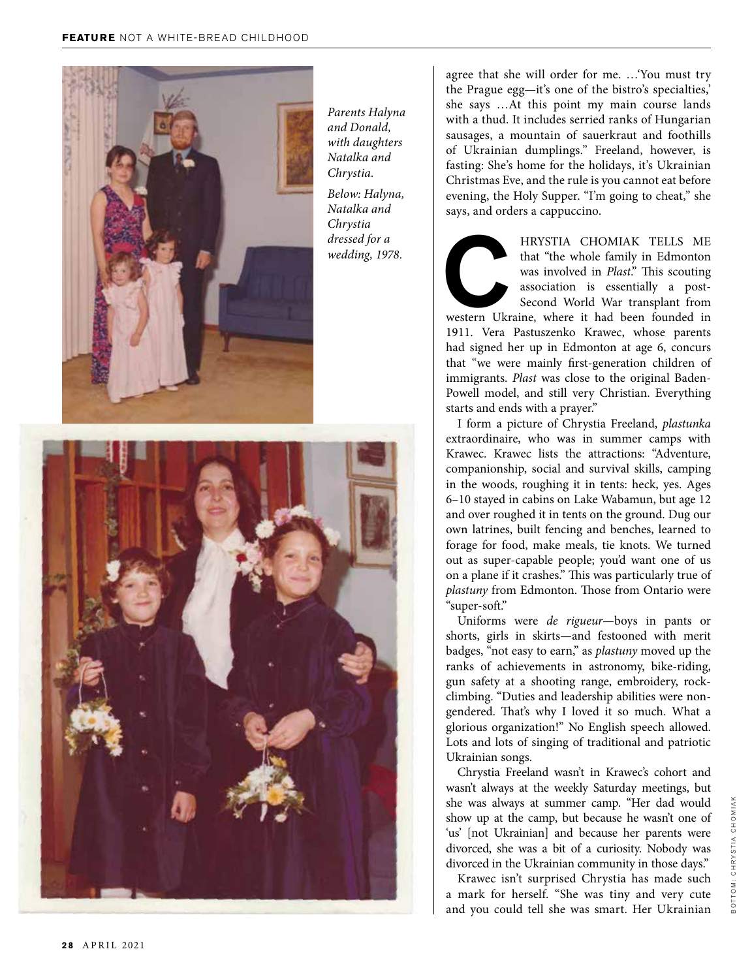

*Parents Halyna and Donald, with daughters Natalka and Chrystia.*

*Below: Halyna, Natalka and Chrystia dressed for a wedding, 1978.*



agree that she will order for me. …'You must try the Prague egg—it's one of the bistro's specialties,' she says …At this point my main course lands with a thud. It includes serried ranks of Hungarian sausages, a mountain of sauerkraut and foothills of Ukrainian dumplings." Freeland, however, is fasting: She's home for the holidays, it's Ukrainian Christmas Eve, and the rule is you cannot eat before evening, the Holy Supper. "I'm going to cheat," she says, and orders a cappuccino.

HRYSTIA CHOMIAK TELLS ME<br>that "the whole family in Edmonton<br>was involved in *Plast.*" This scouting<br>association is essentially a post-<br>Second World War transplant from<br>western Ukraine, where it had been founded in that "the whole family in Edmonton was involved in *Plast*." This scouting association is essentially a post-Second World War transplant from

western Ukraine, where it had been founded in 1911. Vera Pastuszenko Krawec, whose parents had signed her up in Edmonton at age 6, concurs that "we were mainly first-generation children of immigrants. *Plast* was close to the original Baden-Powell model, and still very Christian. Everything starts and ends with a prayer."

I form a picture of Chrystia Freeland, *plastunka* extraordinaire, who was in summer camps with Krawec. Krawec lists the attractions: "Adventure, companionship, social and survival skills, camping in the woods, roughing it in tents: heck, yes. Ages 6–10 stayed in cabins on Lake Wabamun, but age 12 and over roughed it in tents on the ground. Dug our own latrines, built fencing and benches, learned to forage for food, make meals, tie knots. We turned out as super-capable people; you'd want one of us on a plane if it crashes." This was particularly true of *plastuny* from Edmonton. Those from Ontario were "super-soft."

Uniforms were *de rigueur*—boys in pants or shorts, girls in skirts—and festooned with merit badges, "not easy to earn," as *plastuny* moved up the ranks of achievements in astronomy, bike-riding, gun safety at a shooting range, embroidery, rockclimbing. "Duties and leadership abilities were nongendered. That's why I loved it so much. What a glorious organization!" No English speech allowed. Lots and lots of singing of traditional and patriotic Ukrainian songs.

Chrystia Freeland wasn't in Krawec's cohort and wasn't always at the weekly Saturday meetings, but she was always at summer camp. "Her dad would show up at the camp, but because he wasn't one of 'us' [not Ukrainian] and because her parents were divorced, she was a bit of a curiosity. Nobody was divorced in the Ukrainian community in those days."

Krawec isn't surprised Chrystia has made such a mark for herself. "She was tiny and very cute and you could tell she was smart. Her Ukrainian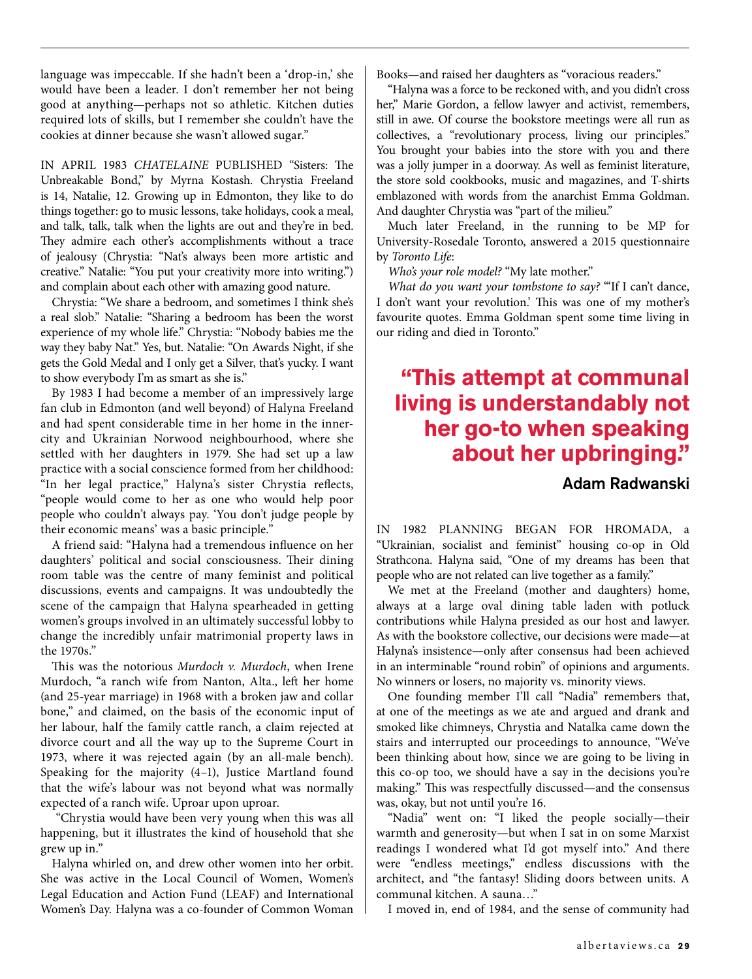language was impeccable. If she hadn't been a 'drop-in,' she would have been a leader. I don't remember her not being good at anything—perhaps not so athletic. Kitchen duties required lots of skills, but I remember she couldn't have the cookies at dinner because she wasn't allowed sugar."

IN APRIL 1983 *CHATELAINE* PUBLISHED "Sisters: The Unbreakable Bond," by Myrna Kostash. Chrystia Freeland is 14, Natalie, 12. Growing up in Edmonton, they like to do things together: go to music lessons, take holidays, cook a meal, and talk, talk, talk when the lights are out and they're in bed. They admire each other's accomplishments without a trace of jealousy (Chrystia: "Nat's always been more artistic and creative." Natalie: "You put your creativity more into writing.") and complain about each other with amazing good nature.

Chrystia: "We share a bedroom, and sometimes I think she's a real slob." Natalie: "Sharing a bedroom has been the worst experience of my whole life." Chrystia: "Nobody babies me the way they baby Nat." Yes, but. Natalie: "On Awards Night, if she gets the Gold Medal and I only get a Silver, that's yucky. I want to show everybody I'm as smart as she is."

By 1983 I had become a member of an impressively large fan club in Edmonton (and well beyond) of Halyna Freeland and had spent considerable time in her home in the innercity and Ukrainian Norwood neighbourhood, where she settled with her daughters in 1979. She had set up a law practice with a social conscience formed from her childhood: "In her legal practice," Halyna's sister Chrystia reflects, "people would come to her as one who would help poor people who couldn't always pay. 'You don't judge people by their economic means' was a basic principle."

A friend said: "Halyna had a tremendous influence on her daughters' political and social consciousness. Their dining room table was the centre of many feminist and political discussions, events and campaigns. It was undoubtedly the scene of the campaign that Halyna spearheaded in getting women's groups involved in an ultimately successful lobby to change the incredibly unfair matrimonial property laws in the 1970s."

This was the notorious *Murdoch v. Murdoch*, when Irene Murdoch, "a ranch wife from Nanton, Alta., left her home (and 25-year marriage) in 1968 with a broken jaw and collar bone," and claimed, on the basis of the economic input of her labour, half the family cattle ranch, a claim rejected at divorce court and all the way up to the Supreme Court in 1973, where it was rejected again (by an all-male bench). Speaking for the majority (4–1), Justice Martland found that the wife's labour was not beyond what was normally expected of a ranch wife. Uproar upon uproar.

 "Chrystia would have been very young when this was all happening, but it illustrates the kind of household that she grew up in."

Halyna whirled on, and drew other women into her orbit. She was active in the Local Council of Women, Women's Legal Education and Action Fund (LEAF) and International Women's Day. Halyna was a co-founder of Common Woman Books—and raised her daughters as "voracious readers."

"Halyna was a force to be reckoned with, and you didn't cross her," Marie Gordon, a fellow lawyer and activist, remembers, still in awe. Of course the bookstore meetings were all run as collectives, a "revolutionary process, living our principles." You brought your babies into the store with you and there was a jolly jumper in a doorway. As well as feminist literature, the store sold cookbooks, music and magazines, and T-shirts emblazoned with words from the anarchist Emma Goldman. And daughter Chrystia was "part of the milieu."

Much later Freeland, in the running to be MP for University-Rosedale Toronto, answered a 2015 questionnaire by *Toronto Life*:

*Who's your role model?* "My late mother."

*What do you want your tombstone to say?* "'If I can't dance, I don't want your revolution.' This was one of my mother's favourite quotes. Emma Goldman spent some time living in our riding and died in Toronto."

## **"This attempt at communal living is understandably not her go-to when speaking about her upbringing."**

#### Adam Radwanski

IN 1982 PLANNING BEGAN FOR HROMADA, a "Ukrainian, socialist and feminist" housing co-op in Old Strathcona. Halyna said, "One of my dreams has been that people who are not related can live together as a family."

We met at the Freeland (mother and daughters) home, always at a large oval dining table laden with potluck contributions while Halyna presided as our host and lawyer. As with the bookstore collective, our decisions were made—at Halyna's insistence—only after consensus had been achieved in an interminable "round robin" of opinions and arguments. No winners or losers, no majority vs. minority views.

One founding member I'll call "Nadia" remembers that, at one of the meetings as we ate and argued and drank and smoked like chimneys, Chrystia and Natalka came down the stairs and interrupted our proceedings to announce, "We've been thinking about how, since we are going to be living in this co-op too, we should have a say in the decisions you're making." This was respectfully discussed—and the consensus was, okay, but not until you're 16.

"Nadia" went on: "I liked the people socially—their warmth and generosity—but when I sat in on some Marxist readings I wondered what I'd got myself into." And there were "endless meetings," endless discussions with the architect, and "the fantasy! Sliding doors between units. A communal kitchen. A sauna…"

I moved in, end of 1984, and the sense of community had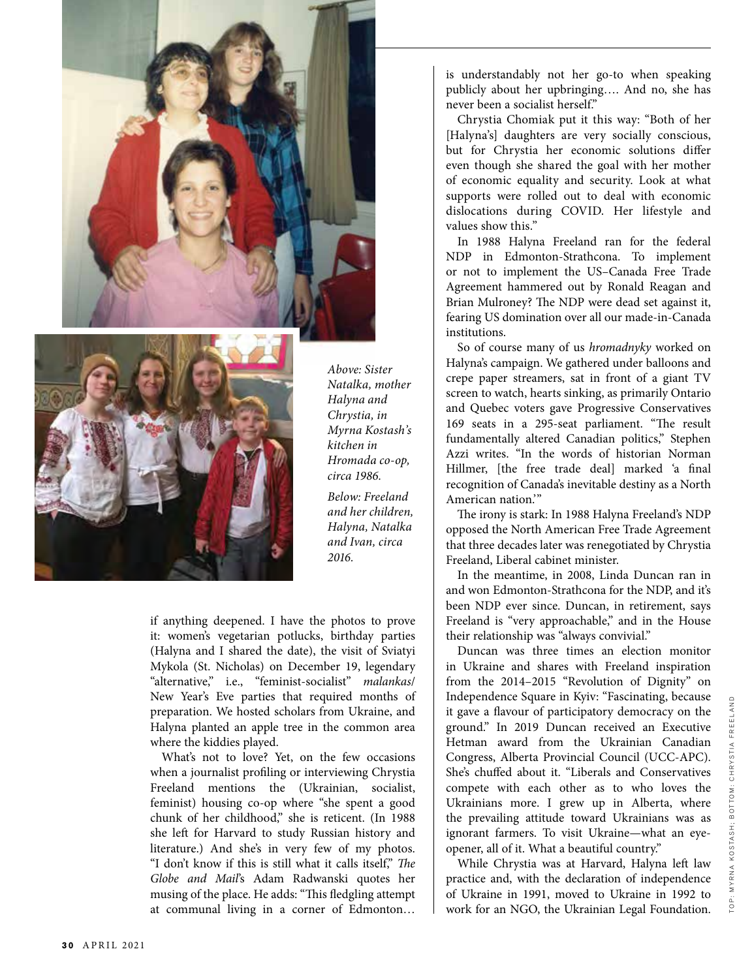



*Above: Sister Natalka, mother Halyna and Chrystia, in Myrna Kostash's kitchen in Hromada co-op, circa 1986.* 

*Below: Freeland and her children, Halyna, Natalka and Ivan, circa 2016.*

if anything deepened. I have the photos to prove it: women's vegetarian potlucks, birthday parties (Halyna and I shared the date), the visit of Sviatyi Mykola (St. Nicholas) on December 19, legendary "alternative," i.e., "feminist-socialist" *malankas*/ New Year's Eve parties that required months of preparation. We hosted scholars from Ukraine, and Halyna planted an apple tree in the common area where the kiddies played.

What's not to love? Yet, on the few occasions when a journalist profiling or interviewing Chrystia Freeland mentions the (Ukrainian, socialist, feminist) housing co-op where "she spent a good chunk of her childhood," she is reticent. (In 1988 she left for Harvard to study Russian history and literature.) And she's in very few of my photos. "I don't know if this is still what it calls itself," *The Globe and Mail*'s Adam Radwanski quotes her musing of the place. He adds: "This fledgling attempt at communal living in a corner of Edmonton…

is understandably not her go-to when speaking publicly about her upbringing…. And no, she has never been a socialist herself."

Chrystia Chomiak put it this way: "Both of her [Halyna's] daughters are very socially conscious, but for Chrystia her economic solutions differ even though she shared the goal with her mother of economic equality and security. Look at what supports were rolled out to deal with economic dislocations during COVID. Her lifestyle and values show this."

In 1988 Halyna Freeland ran for the federal NDP in Edmonton-Strathcona. To implement or not to implement the US–Canada Free Trade Agreement hammered out by Ronald Reagan and Brian Mulroney? The NDP were dead set against it, fearing US domination over all our made-in-Canada institutions.

So of course many of us *hromadnyky* worked on Halyna's campaign. We gathered under balloons and crepe paper streamers, sat in front of a giant TV screen to watch, hearts sinking, as primarily Ontario and Quebec voters gave Progressive Conservatives 169 seats in a 295-seat parliament. "The result fundamentally altered Canadian politics," Stephen Azzi writes. "In the words of historian Norman Hillmer, [the free trade deal] marked 'a final recognition of Canada's inevitable destiny as a North American nation.'"

The irony is stark: In 1988 Halyna Freeland's NDP opposed the North American Free Trade Agreement that three decades later was renegotiated by Chrystia Freeland, Liberal cabinet minister.

In the meantime, in 2008, Linda Duncan ran in and won Edmonton-Strathcona for the NDP, and it's been NDP ever since. Duncan, in retirement, says Freeland is "very approachable," and in the House their relationship was "always convivial."

Duncan was three times an election monitor in Ukraine and shares with Freeland inspiration from the 2014–2015 "Revolution of Dignity" on Independence Square in Kyiv: "Fascinating, because it gave a flavour of participatory democracy on the ground." In 2019 Duncan received an Executive Hetman award from the Ukrainian Canadian Congress, Alberta Provincial Council (UCC-APC). She's chuffed about it. "Liberals and Conservatives compete with each other as to who loves the Ukrainians more. I grew up in Alberta, where the prevailing attitude toward Ukrainians was as ignorant farmers. To visit Ukraine—what an eyeopener, all of it. What a beautiful country."

While Chrystia was at Harvard, Halyna left law practice and, with the declaration of independence of Ukraine in 1991, moved to Ukraine in 1992 to work for an NGO, the Ukrainian Legal Foundation.